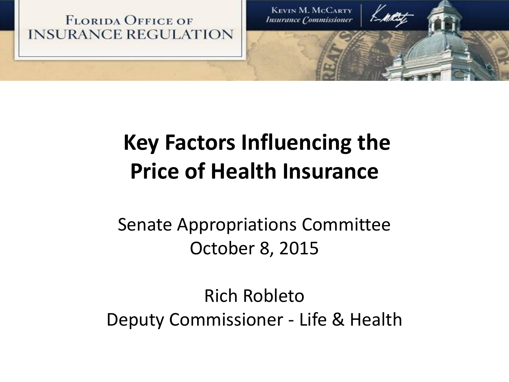

### **Key Factors Influencing the Price of Health Insurance**

Senate Appropriations Committee October 8, 2015

Rich Robleto Deputy Commissioner - Life & Health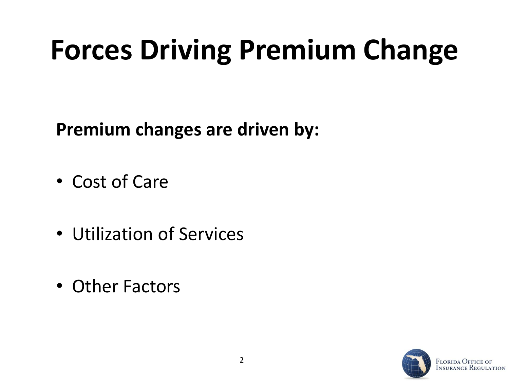### **Forces Driving Premium Change**

**Premium changes are driven by:**

- Cost of Care
- Utilization of Services
- Other Factors

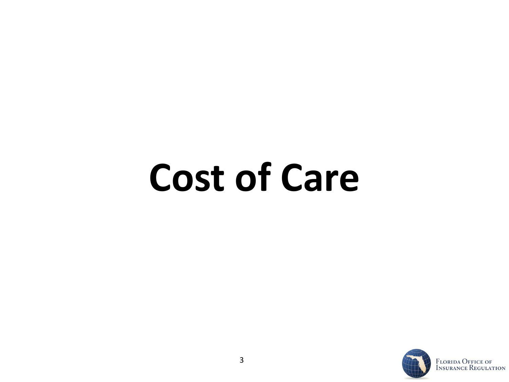# **Cost of Care**

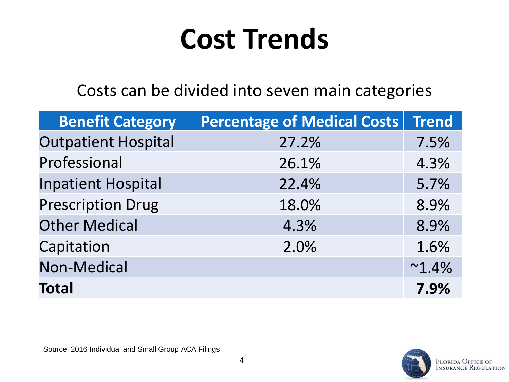### **Cost Trends**

#### Costs can be divided into seven main categories

| <b>Benefit Category</b>    | <b>Percentage of Medical Costs</b> | <b>Trend</b>    |
|----------------------------|------------------------------------|-----------------|
| <b>Outpatient Hospital</b> | 27.2%                              | 7.5%            |
| Professional               | 26.1%                              | 4.3%            |
| <b>Inpatient Hospital</b>  | 22.4%                              | 5.7%            |
| <b>Prescription Drug</b>   | 18.0%                              | 8.9%            |
| <b>Other Medical</b>       | 4.3%                               | 8.9%            |
| Capitation                 | 2.0%                               | 1.6%            |
| <b>Non-Medical</b>         |                                    | $~^{\sim}1.4\%$ |
| <b>Total</b>               |                                    | 7.9%            |

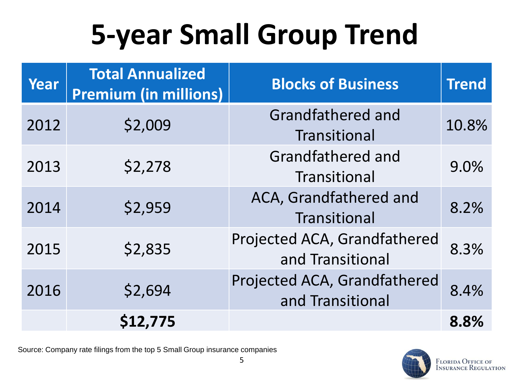## **5-year Small Group Trend**

| Year | <b>Total Annualized</b><br><b>Premium (in millions)</b> | <b>Blocks of Business</b>                        | <b>Trend</b> |
|------|---------------------------------------------------------|--------------------------------------------------|--------------|
| 2012 | \$2,009                                                 | <b>Grandfathered and</b><br>Transitional         | 10.8%        |
| 2013 | \$2,278                                                 | Grandfathered and<br>Transitional                | 9.0%         |
| 2014 | \$2,959                                                 | ACA, Grandfathered and<br>Transitional           | 8.2%         |
| 2015 | \$2,835                                                 | Projected ACA, Grandfathered<br>and Transitional | 8.3%         |
| 2016 | \$2,694                                                 | Projected ACA, Grandfathered<br>and Transitional | 8.4%         |
|      | \$12,775                                                |                                                  | 8.8%         |

Source: Company rate filings from the top 5 Small Group insurance companies

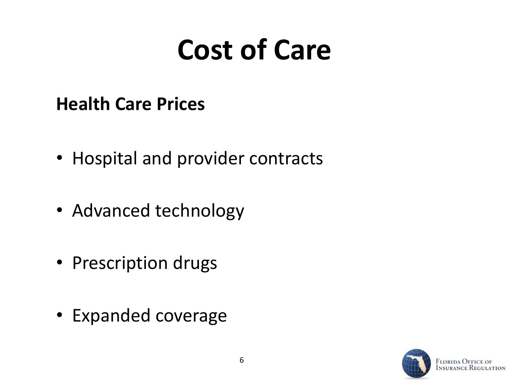### **Cost of Care**

### **Health Care Prices**

- Hospital and provider contracts
- Advanced technology
- Prescription drugs
- Expanded coverage

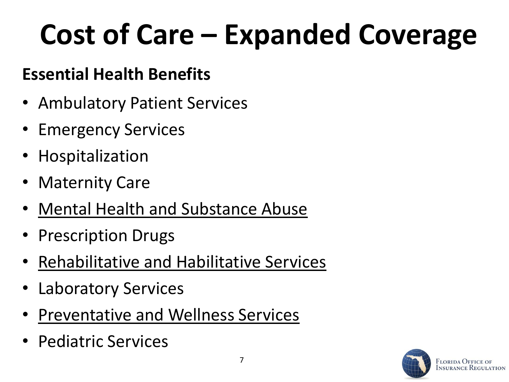## **Cost of Care – Expanded Coverage**

7

### **Essential Health Benefits**

- Ambulatory Patient Services
- Emergency Services
- Hospitalization
- **Maternity Care**
- Mental Health and Substance Abuse
- Prescription Drugs
- Rehabilitative and Habilitative Services
- **Laboratory Services**
- Preventative and Wellness Services
- Pediatric Services

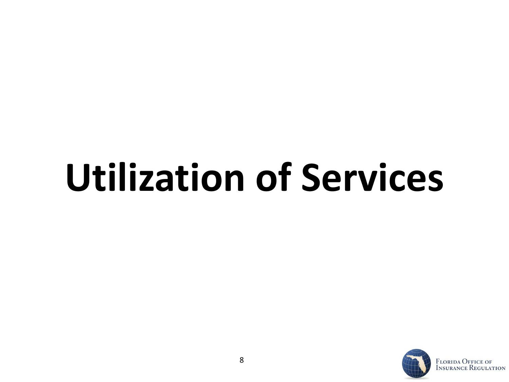# **Utilization of Services**

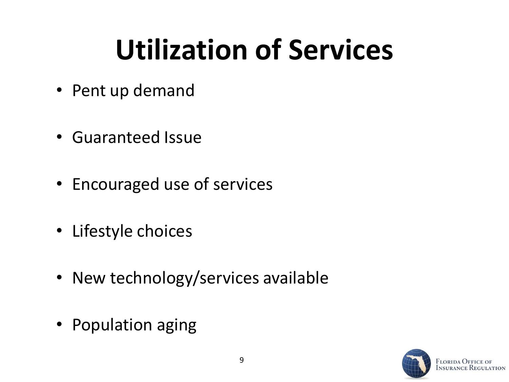## **Utilization of Services**

- Pent up demand
- Guaranteed Issue
- Encouraged use of services
- Lifestyle choices
- New technology/services available
- Population aging

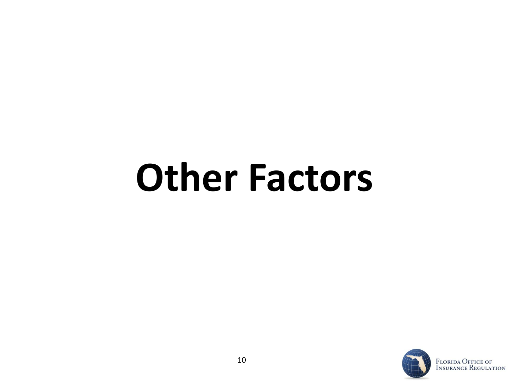## **Other Factors**

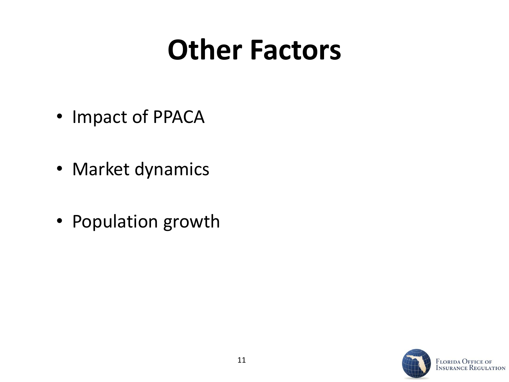### **Other Factors**

- Impact of PPACA
- Market dynamics
- Population growth



**ATION**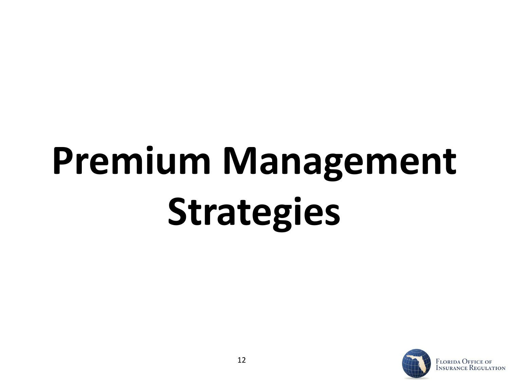# **Premium Management Strategies**

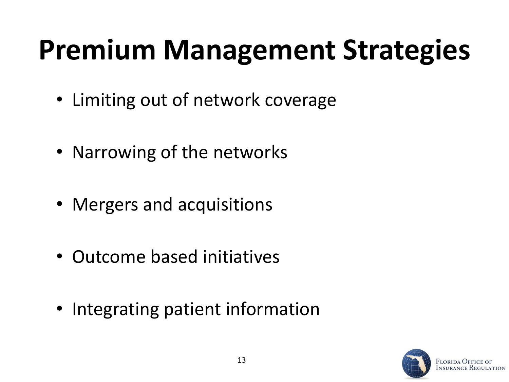### **Premium Management Strategies**

- Limiting out of network coverage
- Narrowing of the networks
- Mergers and acquisitions
- Outcome based initiatives
- Integrating patient information

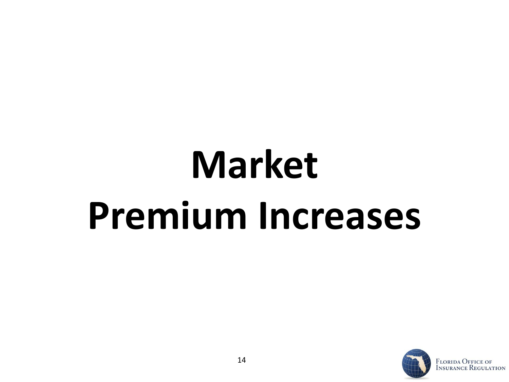# **Market Premium Increases**

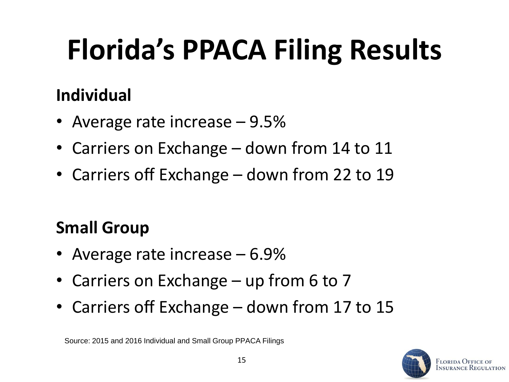## **Florida's PPACA Filing Results**

### **Individual**

- Average rate increase 9.5%
- Carriers on Exchange down from 14 to 11
- Carriers off Exchange down from 22 to 19

### **Small Group**

- Average rate increase 6.9%
- Carriers on Exchange up from 6 to 7
- Carriers off Exchange down from 17 to 15

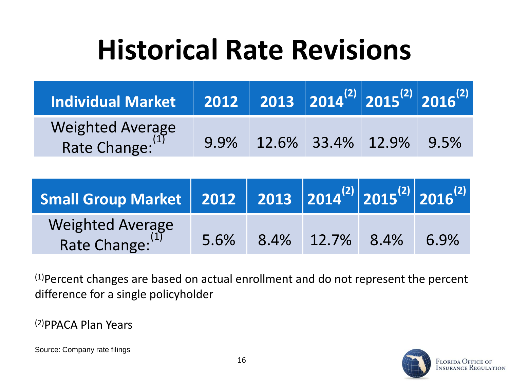### **Historical Rate Revisions**

| Individual Market 2012 2013 2014 <sup>(2)</sup> 2015 <sup>(2)</sup> 2016 <sup>(2)</sup> |      |                   |      |
|-----------------------------------------------------------------------------------------|------|-------------------|------|
| Weighted Average<br>Rate Change:                                                        | 9.9% | 12.6% 33.4% 12.9% | 9.5% |

| Small Group Market 2012 2013 2014 <sup>(2)</sup> 2015 <sup>(2)</sup> 2016 <sup>(2)</sup> |      |      |            |      |
|------------------------------------------------------------------------------------------|------|------|------------|------|
| Weighted Average<br>Rate Change: (1)                                                     | 5.6% | 8.4% | 12.7% 8.4% | 6.9% |

(1)Percent changes are based on actual enrollment and do not represent the percent difference for a single policyholder

(2)PPACA Plan Years

Source: Company rate filings

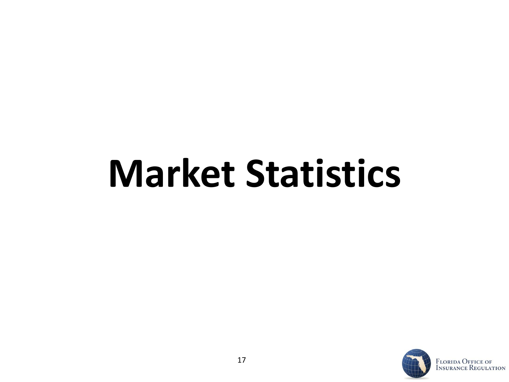# **Market Statistics**

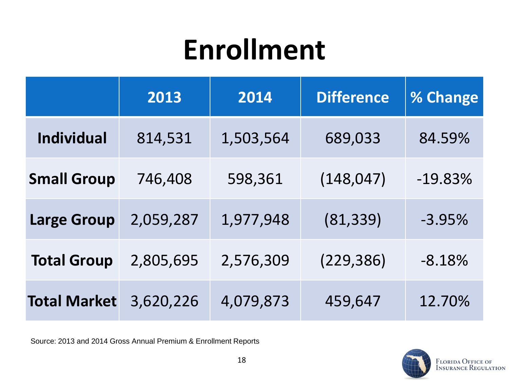### **Enrollment**

|                     | 2013      | 2014      | <b>Difference</b> | % Change  |
|---------------------|-----------|-----------|-------------------|-----------|
| <b>Individual</b>   | 814,531   | 1,503,564 | 689,033           | 84.59%    |
| <b>Small Group</b>  | 746,408   | 598,361   | (148, 047)        | $-19.83%$ |
| <b>Large Group</b>  | 2,059,287 | 1,977,948 | (81, 339)         | $-3.95%$  |
| <b>Total Group</b>  | 2,805,695 | 2,576,309 | (229, 386)        | $-8.18%$  |
| <b>Total Market</b> | 3,620,226 | 4,079,873 | 459,647           | 12.70%    |

Source: 2013 and 2014 Gross Annual Premium & Enrollment Reports

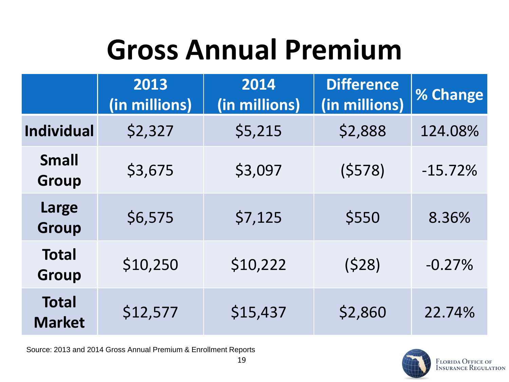## **Gross Annual Premium**

|                               | 2013<br>(in millions) | 2014<br>(in millions) | <b>Difference</b><br>(in millions) | % Change  |
|-------------------------------|-----------------------|-----------------------|------------------------------------|-----------|
| <b>Individual</b>             | \$2,327               | \$5,215               | \$2,888                            | 124.08%   |
| <b>Small</b><br><b>Group</b>  | \$3,675               | \$3,097               | (5578)                             | $-15.72%$ |
| Large<br><b>Group</b>         | \$6,575               | \$7,125               | \$550                              | 8.36%     |
| <b>Total</b><br><b>Group</b>  | \$10,250              | \$10,222              | (528)                              | $-0.27%$  |
| <b>Total</b><br><b>Market</b> | \$12,577              | \$15,437              | \$2,860                            | 22.74%    |

Source: 2013 and 2014 Gross Annual Premium & Enrollment Reports

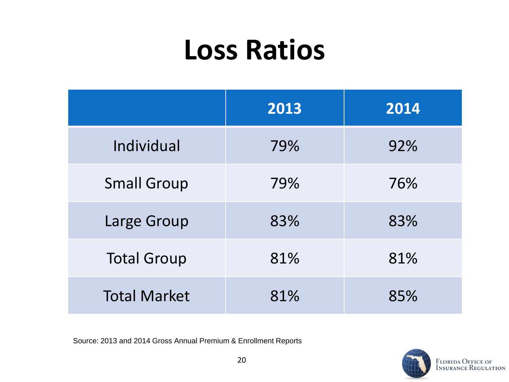### **Loss Ratios**

|                     | 2013 | 2014 |
|---------------------|------|------|
| Individual          | 79%  | 92%  |
| <b>Small Group</b>  | 79%  | 76%  |
| Large Group         | 83%  | 83%  |
| <b>Total Group</b>  | 81%  | 81%  |
| <b>Total Market</b> | 81%  | 85%  |

Source: 2013 and 2014 Gross Annual Premium & Enrollment Reports